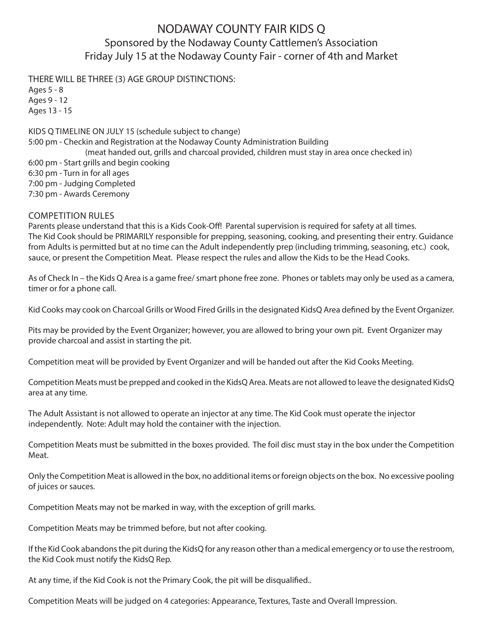## NODAWAY COUNTY FAIR KIDS Q Sponsored by the Nodaway County Cattlemen's Association Friday July 15 at the Nodaway County Fair - corner of 4th and Market

THERE WILL BE THREE (3) AGE GROUP DISTINCTIONS:

Ages 5 - 8 Ages 9 - 12 Ages 13 - 15

KIDS Q TIMELINE ON JULY 15 (schedule subject to change) 5:00 pm - Checkin and Registration at the Nodaway County Administration Building (meat handed out, grills and charcoal provided, children must stay in area once checked in) 6:00 pm - Start grills and begin cooking 6:30 pm - Turn in for all ages 7:00 pm - Judging Completed 7:30 pm - Awards Ceremony

## COMPETITION RULES

Parents please understand that this is a Kids Cook-Off! Parental supervision is required for safety at all times. The Kid Cook should be PRIMARILY responsible for prepping, seasoning, cooking, and presenting their entry. Guidance from Adults is permitted but at no time can the Adult independently prep (including trimming, seasoning, etc.) cook, sauce, or present the Competition Meat. Please respect the rules and allow the Kids to be the Head Cooks.

As of Check In – the Kids Q Area is a game free/ smart phone free zone. Phones or tablets may only be used as a camera, timer or for a phone call.

Kid Cooks may cook on Charcoal Grills or Wood Fired Grills in the designated KidsQ Area defined by the Event Organizer.

Pits may be provided by the Event Organizer; however, you are allowed to bring your own pit. Event Organizer may provide charcoal and assist in starting the pit.

Competition meat will be provided by Event Organizer and will be handed out after the Kid Cooks Meeting.

Competition Meats must be prepped and cooked in the KidsQ Area. Meats are not allowed to leave the designated KidsQ area at any time.

The Adult Assistant is not allowed to operate an injector at any time. The Kid Cook must operate the injector independently. Note: Adult may hold the container with the injection.

Competition Meats must be submitted in the boxes provided. The foil disc must stay in the box under the Competition Meat.

Only the Competition Meat is allowed in the box, no additional items or foreign objects on the box. No excessive pooling of juices or sauces.

Competition Meats may not be marked in way, with the exception of grill marks.

Competition Meats may be trimmed before, but not after cooking.

If the Kid Cook abandons the pit during the KidsQ for any reason other than a medical emergency or to use the restroom, the Kid Cook must notify the KidsQ Rep.

At any time, if the Kid Cook is not the Primary Cook, the pit will be disqualified..

Competition Meats will be judged on 4 categories: Appearance, Textures, Taste and Overall Impression.